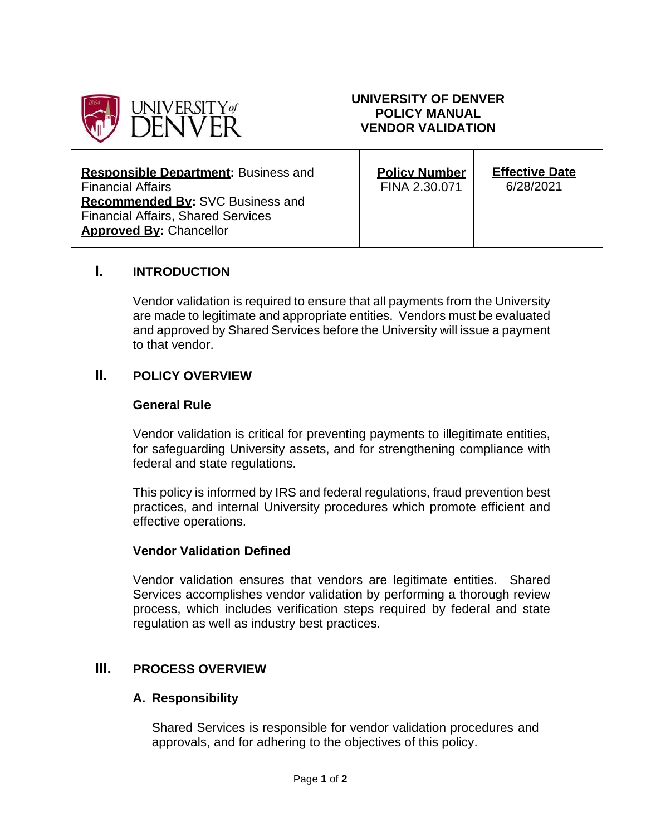

#### **UNIVERSITY OF DENVER POLICY MANUAL VENDOR VALIDATION**

**Responsible Department:** Business and Financial Affairs **Recommended By:** SVC Business and Financial Affairs, Shared Services **Approved By:** Chancellor

| <b>Policy Number</b><br>FINA 2.30.071 | <b>Effective Date</b><br>6/28/2021 |
|---------------------------------------|------------------------------------|
|                                       |                                    |

## **I. INTRODUCTION**

Vendor validation is required to ensure that all payments from the University are made to legitimate and appropriate entities. Vendors must be evaluated and approved by Shared Services before the University will issue a payment to that vendor.

## **II. POLICY OVERVIEW**

#### **General Rule**

Vendor validation is critical for preventing payments to illegitimate entities, for safeguarding University assets, and for strengthening compliance with federal and state regulations.

This policy is informed by IRS and federal regulations, fraud prevention best practices, and internal University procedures which promote efficient and effective operations.

#### **Vendor Validation Defined**

Vendor validation ensures that vendors are legitimate entities. Shared Services accomplishes vendor validation by performing a thorough review process, which includes verification steps required by federal and state regulation as well as industry best practices.

## **III. PROCESS OVERVIEW**

#### **A. Responsibility**

Shared Services is responsible for vendor validation procedures and approvals, and for adhering to the objectives of this policy.